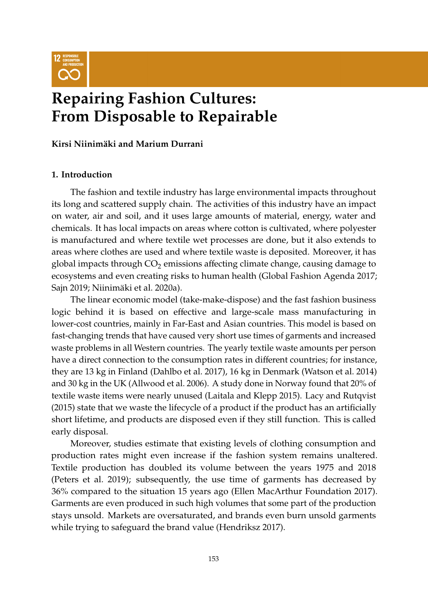

# **Repairing Fashion Cultures: From Disposable to Repairable**

**Kirsi Niinimäki and Marium Durrani**

# **1. Introduction**

The fashion and textile industry has large environmental impacts throughout its long and scattered supply chain. The activities of this industry have an impact on water, air and soil, and it uses large amounts of material, energy, water and chemicals. It has local impacts on areas where cotton is cultivated, where polyester is manufactured and where textile wet processes are done, but it also extends to areas where clothes are used and where textile waste is deposited. Moreover, it has global impacts through  $CO<sub>2</sub>$  emissions affecting climate change, causing damage to ecosystems and even creating risks to human health [\(Global Fashion Agenda](#page-11-0) [2017;](#page-11-0) [Sajn](#page-13-0) [2019;](#page-13-0) [Niinimäki et al.](#page-13-1) [2020a\)](#page-13-1).

The linear economic model (take-make-dispose) and the fast fashion business logic behind it is based on effective and large-scale mass manufacturing in lower-cost countries, mainly in Far-East and Asian countries. This model is based on fast-changing trends that have caused very short use times of garments and increased waste problems in all Western countries. The yearly textile waste amounts per person have a direct connection to the consumption rates in different countries; for instance, they are 13 kg in Finland [\(Dahlbo et al.](#page-11-1) [2017\)](#page-11-1), 16 kg in Denmark [\(Watson et al.](#page-14-0) [2014\)](#page-14-0) and 30 kg in the UK [\(Allwood et al.](#page-10-0) [2006\)](#page-10-0). A study done in Norway found that 20% of textile waste items were nearly unused [\(Laitala and Klepp](#page-12-0) [2015\)](#page-12-0). [Lacy and Rutqvist](#page-12-1) [\(2015\)](#page-12-1) state that we waste the lifecycle of a product if the product has an artificially short lifetime, and products are disposed even if they still function. This is called early disposal.

Moreover, studies estimate that existing levels of clothing consumption and production rates might even increase if the fashion system remains unaltered. Textile production has doubled its volume between the years 1975 and 2018 [\(Peters et al.](#page-13-2) [2019\)](#page-13-2); subsequently, the use time of garments has decreased by 36% compared to the situation 15 years ago [\(Ellen MacArthur Foundation](#page-11-2) [2017\)](#page-11-2). Garments are even produced in such high volumes that some part of the production stays unsold. Markets are oversaturated, and brands even burn unsold garments while trying to safeguard the brand value [\(Hendriksz](#page-12-2) [2017\)](#page-12-2).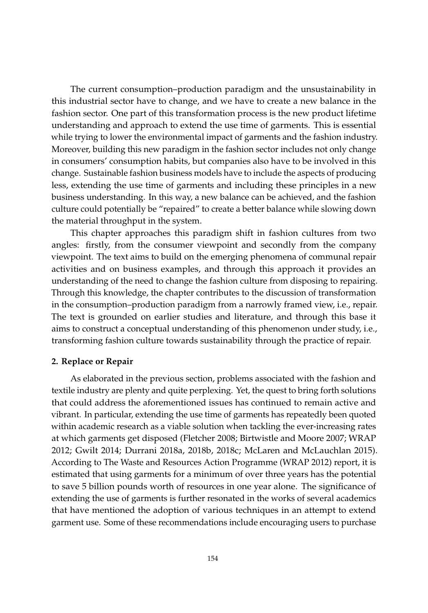The current consumption–production paradigm and the unsustainability in this industrial sector have to change, and we have to create a new balance in the fashion sector. One part of this transformation process is the new product lifetime understanding and approach to extend the use time of garments. This is essential while trying to lower the environmental impact of garments and the fashion industry. Moreover, building this new paradigm in the fashion sector includes not only change in consumers' consumption habits, but companies also have to be involved in this change. Sustainable fashion business models have to include the aspects of producing less, extending the use time of garments and including these principles in a new business understanding. In this way, a new balance can be achieved, and the fashion culture could potentially be "repaired" to create a better balance while slowing down the material throughput in the system.

This chapter approaches this paradigm shift in fashion cultures from two angles: firstly, from the consumer viewpoint and secondly from the company viewpoint. The text aims to build on the emerging phenomena of communal repair activities and on business examples, and through this approach it provides an understanding of the need to change the fashion culture from disposing to repairing. Through this knowledge, the chapter contributes to the discussion of transformation in the consumption–production paradigm from a narrowly framed view, i.e., repair. The text is grounded on earlier studies and literature, and through this base it aims to construct a conceptual understanding of this phenomenon under study, i.e., transforming fashion culture towards sustainability through the practice of repair.

#### **2. Replace or Repair**

As elaborated in the previous section, problems associated with the fashion and textile industry are plenty and quite perplexing. Yet, the quest to bring forth solutions that could address the aforementioned issues has continued to remain active and vibrant. In particular, extending the use time of garments has repeatedly been quoted within academic research as a viable solution when tackling the ever-increasing rates at which garments get disposed [\(Fletcher](#page-11-3) [2008;](#page-11-3) [Birtwistle and Moore](#page-10-1) [2007;](#page-10-1) [WRAP](#page-14-1) [2012;](#page-14-1) [Gwilt](#page-11-4) [2014;](#page-11-4) [Durrani](#page-11-5) [2018a,](#page-11-5) [2018b,](#page-11-6) [2018c;](#page-11-7) [McLaren and McLauchlan](#page-12-3) [2015\)](#page-12-3). According to The Waste and Resources Action Programme [\(WRAP](#page-14-1) [2012\)](#page-14-1) report, it is estimated that using garments for a minimum of over three years has the potential to save 5 billion pounds worth of resources in one year alone. The significance of extending the use of garments is further resonated in the works of several academics that have mentioned the adoption of various techniques in an attempt to extend garment use. Some of these recommendations include encouraging users to purchase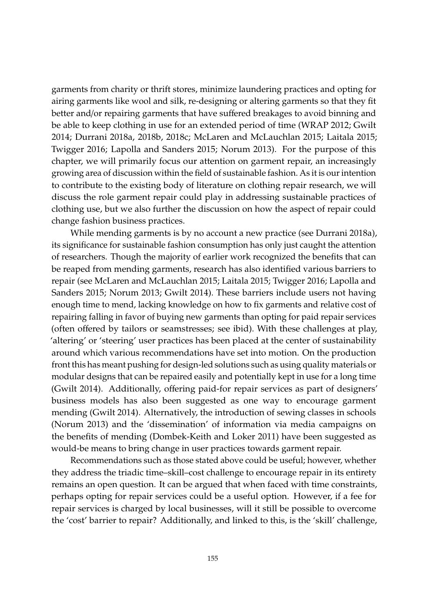garments from charity or thrift stores, minimize laundering practices and opting for airing garments like wool and silk, re-designing or altering garments so that they fit better and/or repairing garments that have suffered breakages to avoid binning and be able to keep clothing in use for an extended period of time [\(WRAP](#page-14-1) [2012;](#page-14-1) [Gwilt](#page-11-4) [2014;](#page-11-4) [Durrani](#page-11-5) [2018a,](#page-11-5) [2018b,](#page-11-6) [2018c;](#page-11-7) [McLaren and McLauchlan](#page-12-3) [2015;](#page-12-3) [Laitala](#page-12-4) [2015;](#page-12-4) [Twigger](#page-13-3) [2016;](#page-13-3) [Lapolla and Sanders](#page-12-5) [2015;](#page-12-5) [Norum](#page-13-4) [2013\)](#page-13-4). For the purpose of this chapter, we will primarily focus our attention on garment repair, an increasingly growing area of discussion within the field of sustainable fashion. As it is our intention to contribute to the existing body of literature on clothing repair research, we will discuss the role garment repair could play in addressing sustainable practices of clothing use, but we also further the discussion on how the aspect of repair could change fashion business practices.

While mending garments is by no account a new practice (see [Durrani](#page-11-5) [2018a\)](#page-11-5), its significance for sustainable fashion consumption has only just caught the attention of researchers. Though the majority of earlier work recognized the benefits that can be reaped from mending garments, research has also identified various barriers to repair (see [McLaren and McLauchlan](#page-12-3) [2015;](#page-12-3) [Laitala](#page-12-4) [2015;](#page-12-4) [Twigger](#page-13-3) [2016;](#page-13-3) [Lapolla and](#page-12-5) [Sanders](#page-12-5) [2015;](#page-12-5) [Norum](#page-13-4) [2013;](#page-13-4) [Gwilt](#page-11-4) [2014\)](#page-11-4). These barriers include users not having enough time to mend, lacking knowledge on how to fix garments and relative cost of repairing falling in favor of buying new garments than opting for paid repair services (often offered by tailors or seamstresses; see ibid). With these challenges at play, 'altering' or 'steering' user practices has been placed at the center of sustainability around which various recommendations have set into motion. On the production front this has meant pushing for design-led solutions such as using quality materials or modular designs that can be repaired easily and potentially kept in use for a long time [\(Gwilt](#page-11-4) [2014\)](#page-11-4). Additionally, offering paid-for repair services as part of designers' business models has also been suggested as one way to encourage garment mending [\(Gwilt](#page-11-4) [2014\)](#page-11-4). Alternatively, the introduction of sewing classes in schools [\(Norum](#page-13-4) [2013\)](#page-13-4) and the 'dissemination' of information via media campaigns on the benefits of mending [\(Dombek-Keith and Loker](#page-11-8) [2011\)](#page-11-8) have been suggested as would-be means to bring change in user practices towards garment repair.

Recommendations such as those stated above could be useful; however, whether they address the triadic time–skill–cost challenge to encourage repair in its entirety remains an open question. It can be argued that when faced with time constraints, perhaps opting for repair services could be a useful option. However, if a fee for repair services is charged by local businesses, will it still be possible to overcome the 'cost' barrier to repair? Additionally, and linked to this, is the 'skill' challenge,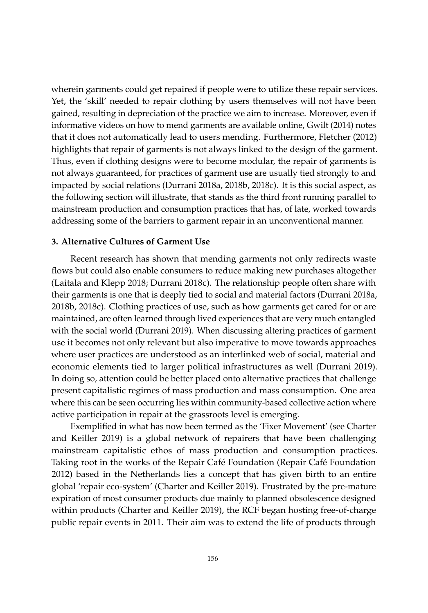wherein garments could get repaired if people were to utilize these repair services. Yet, the 'skill' needed to repair clothing by users themselves will not have been gained, resulting in depreciation of the practice we aim to increase. Moreover, even if informative videos on how to mend garments are available online, [Gwilt](#page-11-4) [\(2014\)](#page-11-4) notes that it does not automatically lead to users mending. Furthermore, [Fletcher](#page-11-9) [\(2012\)](#page-11-9) highlights that repair of garments is not always linked to the design of the garment. Thus, even if clothing designs were to become modular, the repair of garments is not always guaranteed, for practices of garment use are usually tied strongly to and impacted by social relations [\(Durrani](#page-11-5) [2018a,](#page-11-5) [2018b,](#page-11-6) [2018c\)](#page-11-7). It is this social aspect, as the following section will illustrate, that stands as the third front running parallel to mainstream production and consumption practices that has, of late, worked towards addressing some of the barriers to garment repair in an unconventional manner.

#### **3. Alternative Cultures of Garment Use**

Recent research has shown that mending garments not only redirects waste flows but could also enable consumers to reduce making new purchases altogether [\(Laitala and Klepp](#page-12-6) [2018;](#page-12-6) [Durrani](#page-11-7) [2018c\)](#page-11-7). The relationship people often share with their garments is one that is deeply tied to social and material factors [\(Durrani](#page-11-5) [2018a,](#page-11-5) [2018b,](#page-11-6) [2018c\)](#page-11-7). Clothing practices of use, such as how garments get cared for or are maintained, are often learned through lived experiences that are very much entangled with the social world [\(Durrani](#page-11-10) [2019\)](#page-11-10). When discussing altering practices of garment use it becomes not only relevant but also imperative to move towards approaches where user practices are understood as an interlinked web of social, material and economic elements tied to larger political infrastructures as well [\(Durrani](#page-11-10) [2019\)](#page-11-10). In doing so, attention could be better placed onto alternative practices that challenge present capitalistic regimes of mass production and mass consumption. One area where this can be seen occurring lies within community-based collective action where active participation in repair at the grassroots level is emerging.

Exemplified in what has now been termed as the 'Fixer Movement' (see [Charter](#page-10-2) [and Keiller](#page-10-2) [2019\)](#page-10-2) is a global network of repairers that have been challenging mainstream capitalistic ethos of mass production and consumption practices. Taking root in the works of the Repair Café Foundation [\(Repair Café Foundation](#page-13-5) [2012\)](#page-13-5) based in the Netherlands lies a concept that has given birth to an entire global 'repair eco-system' [\(Charter and Keiller](#page-10-2) [2019\)](#page-10-2). Frustrated by the pre-mature expiration of most consumer products due mainly to planned obsolescence designed within products [\(Charter and Keiller](#page-10-2) [2019\)](#page-10-2), the RCF began hosting free-of-charge public repair events in 2011. Their aim was to extend the life of products through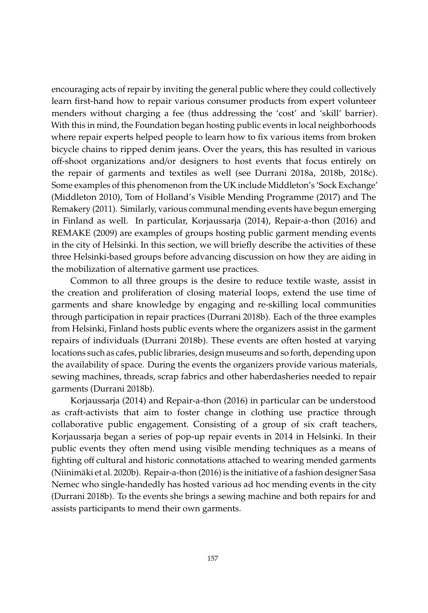encouraging acts of repair by inviting the general public where they could collectively learn first-hand how to repair various consumer products from expert volunteer menders without charging a fee (thus addressing the 'cost' and 'skill' barrier). With this in mind, the Foundation began hosting public events in local neighborhoods where repair experts helped people to learn how to fix various items from broken bicycle chains to ripped denim jeans. Over the years, this has resulted in various off-shoot organizations and/or designers to host events that focus entirely on the repair of garments and textiles as well (see [Durrani](#page-11-5) [2018a,](#page-11-5) [2018b,](#page-11-6) [2018c\)](#page-11-7). Some examples of this phenomenon from the UK include Middleton's 'Sock Exchange' [\(Middleton](#page-12-7) [2010\)](#page-12-7), [Tom of Holland's Visible Mending Programme](#page-13-6) [\(2017\)](#page-13-6) and [The](#page-13-7) [Remakery](#page-13-7) [\(2011\)](#page-13-7). Similarly, various communal mending events have begun emerging in Finland as well. In particular, [Korjaussarja](#page-12-8) [\(2014\)](#page-12-8), [Repair-a-thon](#page-13-8) [\(2016\)](#page-13-8) and [REMAKE](#page-13-9) [\(2009\)](#page-13-9) are examples of groups hosting public garment mending events in the city of Helsinki. In this section, we will briefly describe the activities of these three Helsinki-based groups before advancing discussion on how they are aiding in the mobilization of alternative garment use practices.

Common to all three groups is the desire to reduce textile waste, assist in the creation and proliferation of closing material loops, extend the use time of garments and share knowledge by engaging and re-skilling local communities through participation in repair practices [\(Durrani](#page-11-6) [2018b\)](#page-11-6). Each of the three examples from Helsinki, Finland hosts public events where the organizers assist in the garment repairs of individuals [\(Durrani](#page-11-6) [2018b\)](#page-11-6). These events are often hosted at varying locations such as cafes, public libraries, design museums and so forth, depending upon the availability of space. During the events the organizers provide various materials, sewing machines, threads, scrap fabrics and other haberdasheries needed to repair garments [\(Durrani](#page-11-6) [2018b\)](#page-11-6).

[Korjaussarja](#page-12-8) [\(2014\)](#page-12-8) and [Repair-a-thon](#page-13-8) [\(2016\)](#page-13-8) in particular can be understood as craft-activists that aim to foster change in clothing use practice through collaborative public engagement. Consisting of a group of six craft teachers, Korjaussarja began a series of pop-up repair events in 2014 in Helsinki. In their public events they often mend using visible mending techniques as a means of fighting off cultural and historic connotations attached to wearing mended garments [\(Niinimäki et al.](#page-13-10) [2020b\)](#page-13-10). [Repair-a-thon](#page-13-8) [\(2016\)](#page-13-8) is the initiative of a fashion designer Sasa Nemec who single-handedly has hosted various ad hoc mending events in the city [\(Durrani](#page-11-6) [2018b\)](#page-11-6). To the events she brings a sewing machine and both repairs for and assists participants to mend their own garments.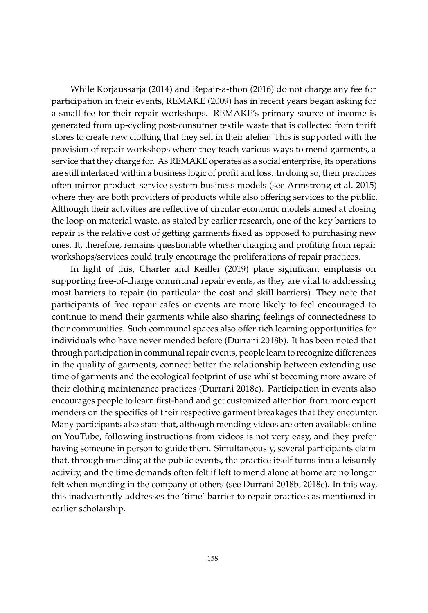While [Korjaussarja](#page-12-8) [\(2014\)](#page-12-8) and [Repair-a-thon](#page-13-8) [\(2016\)](#page-13-8) do not charge any fee for participation in their events, [REMAKE](#page-13-9) [\(2009\)](#page-13-9) has in recent years began asking for a small fee for their repair workshops. REMAKE's primary source of income is generated from up-cycling post-consumer textile waste that is collected from thrift stores to create new clothing that they sell in their atelier. This is supported with the provision of repair workshops where they teach various ways to mend garments, a service that they charge for. As REMAKE operates as a social enterprise, its operations are still interlaced within a business logic of profit and loss. In doing so, their practices often mirror product–service system business models (see [Armstrong et al.](#page-10-3) [2015\)](#page-10-3) where they are both providers of products while also offering services to the public. Although their activities are reflective of circular economic models aimed at closing the loop on material waste, as stated by earlier research, one of the key barriers to repair is the relative cost of getting garments fixed as opposed to purchasing new ones. It, therefore, remains questionable whether charging and profiting from repair workshops/services could truly encourage the proliferations of repair practices.

In light of this, [Charter and Keiller](#page-10-2) [\(2019\)](#page-10-2) place significant emphasis on supporting free-of-charge communal repair events, as they are vital to addressing most barriers to repair (in particular the cost and skill barriers). They note that participants of free repair cafes or events are more likely to feel encouraged to continue to mend their garments while also sharing feelings of connectedness to their communities. Such communal spaces also offer rich learning opportunities for individuals who have never mended before [\(Durrani](#page-11-6) [2018b\)](#page-11-6). It has been noted that through participation in communal repair events, people learn to recognize differences in the quality of garments, connect better the relationship between extending use time of garments and the ecological footprint of use whilst becoming more aware of their clothing maintenance practices [\(Durrani](#page-11-7) [2018c\)](#page-11-7). Participation in events also encourages people to learn first-hand and get customized attention from more expert menders on the specifics of their respective garment breakages that they encounter. Many participants also state that, although mending videos are often available online on YouTube, following instructions from videos is not very easy, and they prefer having someone in person to guide them. Simultaneously, several participants claim that, through mending at the public events, the practice itself turns into a leisurely activity, and the time demands often felt if left to mend alone at home are no longer felt when mending in the company of others (see [Durrani](#page-11-6) [2018b,](#page-11-6) [2018c\)](#page-11-7). In this way, this inadvertently addresses the 'time' barrier to repair practices as mentioned in earlier scholarship.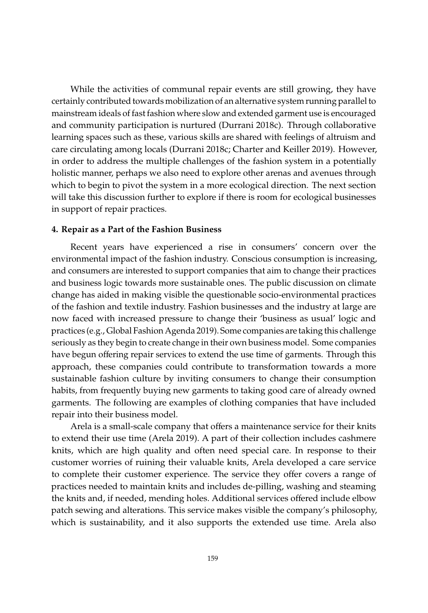While the activities of communal repair events are still growing, they have certainly contributed towards mobilization of an alternative system running parallel to mainstream ideals of fast fashion where slow and extended garment use is encouraged and community participation is nurtured [\(Durrani](#page-11-7) [2018c\)](#page-11-7). Through collaborative learning spaces such as these, various skills are shared with feelings of altruism and care circulating among locals [\(Durrani](#page-11-7) [2018c;](#page-11-7) [Charter and Keiller](#page-10-2) [2019\)](#page-10-2). However, in order to address the multiple challenges of the fashion system in a potentially holistic manner, perhaps we also need to explore other arenas and avenues through which to begin to pivot the system in a more ecological direction. The next section will take this discussion further to explore if there is room for ecological businesses in support of repair practices.

#### **4. Repair as a Part of the Fashion Business**

Recent years have experienced a rise in consumers' concern over the environmental impact of the fashion industry. Conscious consumption is increasing, and consumers are interested to support companies that aim to change their practices and business logic towards more sustainable ones. The public discussion on climate change has aided in making visible the questionable socio-environmental practices of the fashion and textile industry. Fashion businesses and the industry at large are now faced with increased pressure to change their 'business as usual' logic and practices (e.g., [Global Fashion Agenda](#page-11-11) [2019\)](#page-11-11). Some companies are taking this challenge seriously as they begin to create change in their own business model. Some companies have begun offering repair services to extend the use time of garments. Through this approach, these companies could contribute to transformation towards a more sustainable fashion culture by inviting consumers to change their consumption habits, from frequently buying new garments to taking good care of already owned garments. The following are examples of clothing companies that have included repair into their business model.

Arela is a small-scale company that offers a maintenance service for their knits to extend their use time [\(Arela](#page-10-4) [2019\)](#page-10-4). A part of their collection includes cashmere knits, which are high quality and often need special care. In response to their customer worries of ruining their valuable knits, Arela developed a care service to complete their customer experience. The service they offer covers a range of practices needed to maintain knits and includes de-pilling, washing and steaming the knits and, if needed, mending holes. Additional services offered include elbow patch sewing and alterations. This service makes visible the company's philosophy, which is sustainability, and it also supports the extended use time. Arela also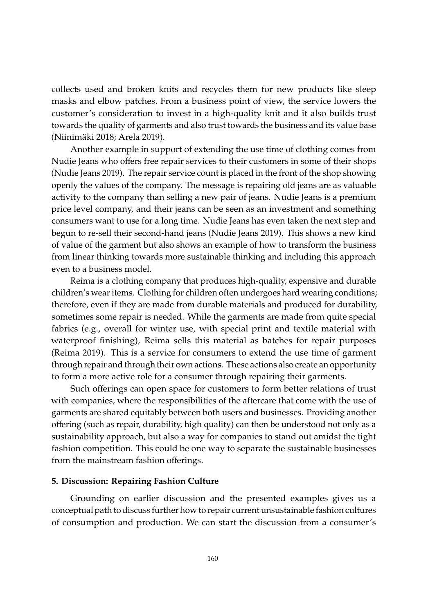collects used and broken knits and recycles them for new products like sleep masks and elbow patches. From a business point of view, the service lowers the customer's consideration to invest in a high-quality knit and it also builds trust towards the quality of garments and also trust towards the business and its value base [\(Niinimäki](#page-13-11) [2018;](#page-13-11) [Arela](#page-10-4) [2019\)](#page-10-4).

Another example in support of extending the use time of clothing comes from Nudie Jeans who offers free repair services to their customers in some of their shops [\(Nudie Jeans](#page-13-12) [2019\)](#page-13-12). The repair service count is placed in the front of the shop showing openly the values of the company. The message is repairing old jeans are as valuable activity to the company than selling a new pair of jeans. Nudie Jeans is a premium price level company, and their jeans can be seen as an investment and something consumers want to use for a long time. Nudie Jeans has even taken the next step and begun to re-sell their second-hand jeans [\(Nudie Jeans](#page-13-13) [2019\)](#page-13-13). This shows a new kind of value of the garment but also shows an example of how to transform the business from linear thinking towards more sustainable thinking and including this approach even to a business model.

Reima is a clothing company that produces high-quality, expensive and durable children's wear items. Clothing for children often undergoes hard wearing conditions; therefore, even if they are made from durable materials and produced for durability, sometimes some repair is needed. While the garments are made from quite special fabrics (e.g., overall for winter use, with special print and textile material with waterproof finishing), Reima sells this material as batches for repair purposes [\(Reima](#page-13-14) [2019\)](#page-13-14). This is a service for consumers to extend the use time of garment through repair and through their own actions. These actions also create an opportunity to form a more active role for a consumer through repairing their garments.

Such offerings can open space for customers to form better relations of trust with companies, where the responsibilities of the aftercare that come with the use of garments are shared equitably between both users and businesses. Providing another offering (such as repair, durability, high quality) can then be understood not only as a sustainability approach, but also a way for companies to stand out amidst the tight fashion competition. This could be one way to separate the sustainable businesses from the mainstream fashion offerings.

## **5. Discussion: Repairing Fashion Culture**

Grounding on earlier discussion and the presented examples gives us a conceptual path to discuss further how to repair current unsustainable fashion cultures of consumption and production. We can start the discussion from a consumer's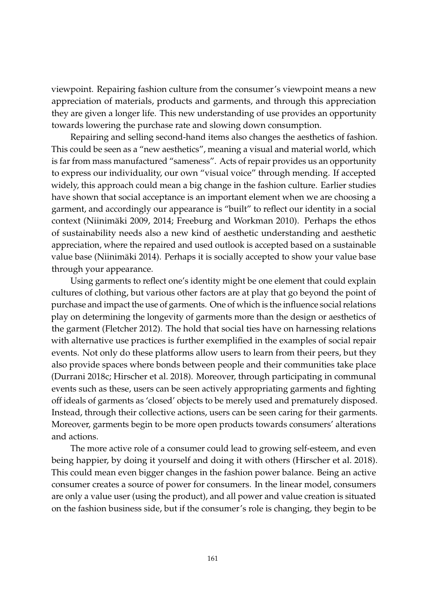viewpoint. Repairing fashion culture from the consumer's viewpoint means a new appreciation of materials, products and garments, and through this appreciation they are given a longer life. This new understanding of use provides an opportunity towards lowering the purchase rate and slowing down consumption.

Repairing and selling second-hand items also changes the aesthetics of fashion. This could be seen as a "new aesthetics", meaning a visual and material world, which is far from mass manufactured "sameness". Acts of repair provides us an opportunity to express our individuality, our own "visual voice" through mending. If accepted widely, this approach could mean a big change in the fashion culture. Earlier studies have shown that social acceptance is an important element when we are choosing a garment, and accordingly our appearance is "built" to reflect our identity in a social context [\(Niinimäki](#page-12-9) [2009,](#page-12-9) [2014;](#page-12-10) [Freeburg and Workman](#page-11-12) [2010\)](#page-11-12). Perhaps the ethos of sustainability needs also a new kind of aesthetic understanding and aesthetic appreciation, where the repaired and used outlook is accepted based on a sustainable value base [\(Niinimäki](#page-12-10) [2014\)](#page-12-10). Perhaps it is socially accepted to show your value base through your appearance.

Using garments to reflect one's identity might be one element that could explain cultures of clothing, but various other factors are at play that go beyond the point of purchase and impact the use of garments. One of which is the influence social relations play on determining the longevity of garments more than the design or aesthetics of the garment [\(Fletcher](#page-11-9) [2012\)](#page-11-9). The hold that social ties have on harnessing relations with alternative use practices is further exemplified in the examples of social repair events. Not only do these platforms allow users to learn from their peers, but they also provide spaces where bonds between people and their communities take place [\(Durrani](#page-11-7) [2018c;](#page-11-7) [Hirscher et al.](#page-12-11) [2018\)](#page-12-11). Moreover, through participating in communal events such as these, users can be seen actively appropriating garments and fighting off ideals of garments as 'closed' objects to be merely used and prematurely disposed. Instead, through their collective actions, users can be seen caring for their garments. Moreover, garments begin to be more open products towards consumers' alterations and actions.

The more active role of a consumer could lead to growing self-esteem, and even being happier, by doing it yourself and doing it with others [\(Hirscher et al.](#page-12-11) [2018\)](#page-12-11). This could mean even bigger changes in the fashion power balance. Being an active consumer creates a source of power for consumers. In the linear model, consumers are only a value user (using the product), and all power and value creation is situated on the fashion business side, but if the consumer's role is changing, they begin to be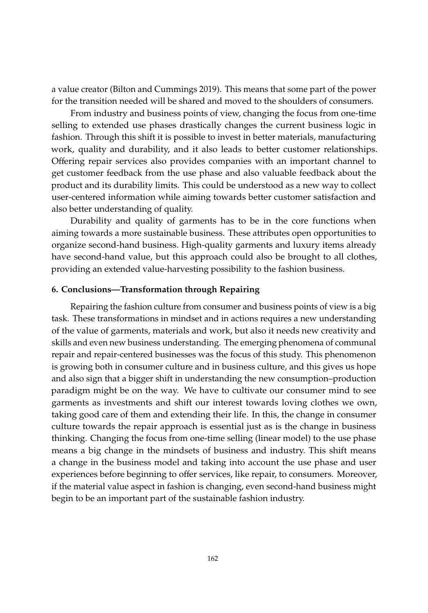a value creator [\(Bilton and Cummings](#page-10-5) [2019\)](#page-10-5). This means that some part of the power for the transition needed will be shared and moved to the shoulders of consumers.

From industry and business points of view, changing the focus from one-time selling to extended use phases drastically changes the current business logic in fashion. Through this shift it is possible to invest in better materials, manufacturing work, quality and durability, and it also leads to better customer relationships. Offering repair services also provides companies with an important channel to get customer feedback from the use phase and also valuable feedback about the product and its durability limits. This could be understood as a new way to collect user-centered information while aiming towards better customer satisfaction and also better understanding of quality.

Durability and quality of garments has to be in the core functions when aiming towards a more sustainable business. These attributes open opportunities to organize second-hand business. High-quality garments and luxury items already have second-hand value, but this approach could also be brought to all clothes, providing an extended value-harvesting possibility to the fashion business.

## **6. Conclusions—Transformation through Repairing**

Repairing the fashion culture from consumer and business points of view is a big task. These transformations in mindset and in actions requires a new understanding of the value of garments, materials and work, but also it needs new creativity and skills and even new business understanding. The emerging phenomena of communal repair and repair-centered businesses was the focus of this study. This phenomenon is growing both in consumer culture and in business culture, and this gives us hope and also sign that a bigger shift in understanding the new consumption–production paradigm might be on the way. We have to cultivate our consumer mind to see garments as investments and shift our interest towards loving clothes we own, taking good care of them and extending their life. In this, the change in consumer culture towards the repair approach is essential just as is the change in business thinking. Changing the focus from one-time selling (linear model) to the use phase means a big change in the mindsets of business and industry. This shift means a change in the business model and taking into account the use phase and user experiences before beginning to offer services, like repair, to consumers. Moreover, if the material value aspect in fashion is changing, even second-hand business might begin to be an important part of the sustainable fashion industry.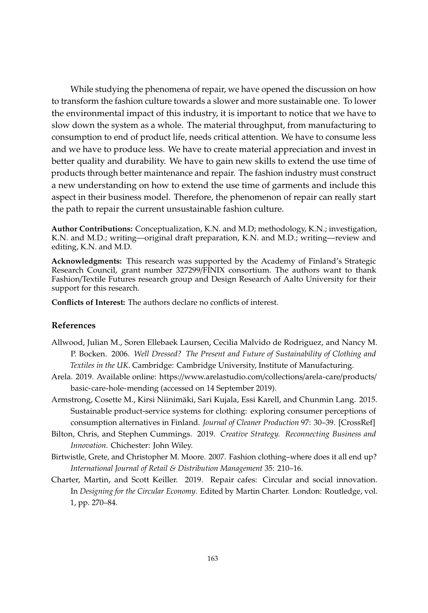While studying the phenomena of repair, we have opened the discussion on how to transform the fashion culture towards a slower and more sustainable one. To lower the environmental impact of this industry, it is important to notice that we have to slow down the system as a whole. The material throughput, from manufacturing to consumption to end of product life, needs critical attention. We have to consume less and we have to produce less. We have to create material appreciation and invest in better quality and durability. We have to gain new skills to extend the use time of products through better maintenance and repair. The fashion industry must construct a new understanding on how to extend the use time of garments and include this aspect in their business model. Therefore, the phenomenon of repair can really start the path to repair the current unsustainable fashion culture.

**Author Contributions:** Conceptualization, K.N. and M.D; methodology, K.N.; investigation, K.N. and M.D.; writing—original draft preparation, K.N. and M.D.; writing—review and editing, K.N. and M.D.

**Acknowledgments:** This research was supported by the Academy of Finland's Strategic Research Council, grant number 327299/FINIX consortium. The authors want to thank Fashion/Textile Futures research group and Design Research of Aalto University for their support for this research.

**Conflicts of Interest:** The authors declare no conflicts of interest.

#### **References**

- <span id="page-10-0"></span>Allwood, Julian M., Soren Ellebaek Laursen, Cecilia Malvido de Rodriguez, and Nancy M. P. Bocken. 2006. *Well Dressed? The Present and Future of Sustainability of Clothing and Textiles in the UK*. Cambridge: Cambridge University, Institute of Manufacturing.
- <span id="page-10-4"></span>Arela. 2019. Available online: https://[www.arelastudio.com](https://www.arelastudio.com/collections/arela-care/products/basic-care-hole-mending)/collections/arela-care/products/ [basic-care-hole-mending](https://www.arelastudio.com/collections/arela-care/products/basic-care-hole-mending) (accessed on 14 September 2019).
- <span id="page-10-3"></span>Armstrong, Cosette M., Kirsi Niinimäki, Sari Kujala, Essi Karell, and Chunmin Lang. 2015. Sustainable product-service systems for clothing: exploring consumer perceptions of consumption alternatives in Finland. *Journal of Cleaner Production* 97: 30–39. [\[CrossRef\]](http://dx.doi.org/10.1016/j.jclepro.2014.01.046)
- <span id="page-10-5"></span>Bilton, Chris, and Stephen Cummings. 2019. *Creative Strategy. Reconnecting Business and Innovation*. Chichester: John Wiley.
- <span id="page-10-1"></span>Birtwistle, Grete, and Christopher M. Moore. 2007. Fashion clothing–where does it all end up? *International Journal of Retail & Distribution Management* 35: 210–16.
- <span id="page-10-2"></span>Charter, Martin, and Scott Keiller. 2019. Repair cafes: Circular and social innovation. In *Designing for the Circular Economy*. Edited by Martin Charter. London: Routledge, vol. 1, pp. 270–84.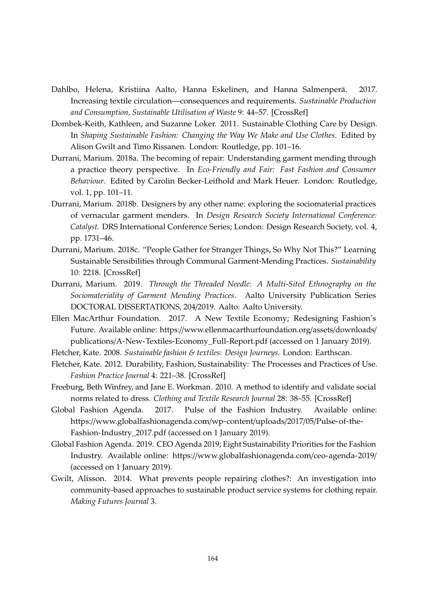- <span id="page-11-1"></span>Dahlbo, Helena, Kristiina Aalto, Hanna Eskelinen, and Hanna Salmenperä. 2017. Increasing textile circulation—consequences and requirements. *Sustainable Production and Consumption, Sustainable Utilisation of Waste* 9: 44–57. [\[CrossRef\]](http://dx.doi.org/10.1016/j.spc.2016.06.005)
- <span id="page-11-8"></span>Dombek-Keith, Kathleen, and Suzanne Loker. 2011. Sustainable Clothing Care by Design. In *Shaping Sustainable Fashion: Changing the Way We Make and Use Clothes*. Edited by Alison Gwilt and Timo Rissanen. London: Routledge, pp. 101–16.
- <span id="page-11-5"></span>Durrani, Marium. 2018a. The becoming of repair: Understanding garment mending through a practice theory perspective. In *Eco-Friendly and Fair: Fast Fashion and Consumer Behaviour*. Edited by Carolin Becker-Leifhold and Mark Heuer. London: Routledge, vol. 1, pp. 101–11.
- <span id="page-11-6"></span>Durrani, Marium. 2018b. Designers by any other name: exploring the sociomaterial practices of vernacular garment menders. In *Design Research Society International Conference: Catalyst*. DRS International Conference Series; London: Design Research Society, vol. 4, pp. 1731–46.
- <span id="page-11-7"></span>Durrani, Marium. 2018c. "People Gather for Stranger Things, So Why Not This?" Learning Sustainable Sensibilities through Communal Garment-Mending Practices. *Sustainability* 10: 2218. [\[CrossRef\]](http://dx.doi.org/10.3390/su10072218)
- <span id="page-11-10"></span>Durrani, Marium. 2019. *Through the Threaded Needle: A Multi-Sited Ethnography on the Sociomateriality of Garment Mending Practices*. Aalto University Publication Series DOCTORAL DISSERTATIONS, 204/2019. Aalto: Aalto University.
- <span id="page-11-2"></span>Ellen MacArthur Foundation. 2017. A New Textile Economy; Redesigning Fashion's Future. Available online: https://[www.ellenmacarthurfoundation.org](https://www.ellenmacarthurfoundation.org/assets/downloads/publications/A-New-Textiles-Economy_Full-Report.pdf)/assets/downloads/ publications/[A-New-Textiles-Economy\\_Full-Report.pdf](https://www.ellenmacarthurfoundation.org/assets/downloads/publications/A-New-Textiles-Economy_Full-Report.pdf) (accessed on 1 January 2019).
- <span id="page-11-9"></span><span id="page-11-3"></span>Fletcher, Kate. 2008. *Sustainable fashion & textiles: Design Journeys*. London: Earthscan.
- Fletcher, Kate. 2012. Durability, Fashion, Sustainability: The Processes and Practices of Use. *Fashion Practice Journal* 4: 221–38. [\[CrossRef\]](http://dx.doi.org/10.2752/175693812X13403765252389)
- <span id="page-11-12"></span>Freeburg, Beth Winfrey, and Jane E. Workman. 2010. A method to identify and validate social norms related to dress. *Clothing and Textile Research Journal* 28: 38–55. [\[CrossRef\]](http://dx.doi.org/10.1177/0887302X08327452)
- <span id="page-11-0"></span>Global Fashion Agenda. 2017. Pulse of the Fashion Industry. Available online: https://[www.globalfashionagenda.com](https://www.globalfashionagenda.com/wp-content/uploads/2017/05/Pulse-of-the-Fashion-Industry_2017.pdf)/wp-content/uploads/2017/05/Pulse-of-the-[Fashion-Industry\\_2017.pdf](https://www.globalfashionagenda.com/wp-content/uploads/2017/05/Pulse-of-the-Fashion-Industry_2017.pdf) (accessed on 1 January 2019).
- <span id="page-11-11"></span>Global Fashion Agenda. 2019. CEO Agenda 2019; Eight Sustainability Priorities for the Fashion Industry. Available online: https://[www.globalfashionagenda.com](https://www.globalfashionagenda.com/ceo-agenda-2019/)/ceo-agenda-2019/ (accessed on 1 January 2019).
- <span id="page-11-4"></span>Gwilt, Alisson. 2014. What prevents people repairing clothes?: An investigation into community-based approaches to sustainable product service systems for clothing repair. *Making Futures Journal* 3.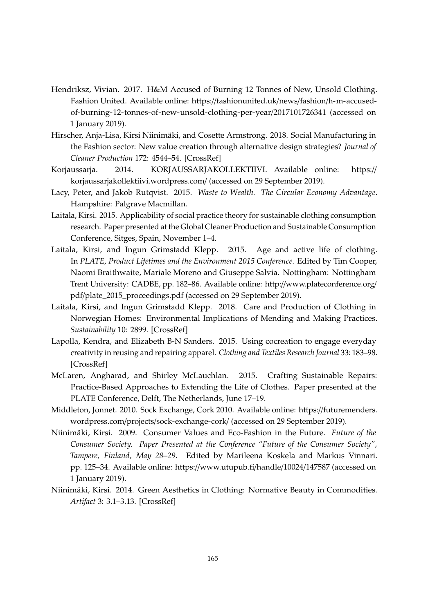- <span id="page-12-2"></span>Hendriksz, Vivian. 2017. H&M Accused of Burning 12 Tonnes of New, Unsold Clothing. Fashion United. Available online: https://[fashionunited.uk](https://fashionunited.uk/news/fashion/h-m-accused-of-burning-12-tonnes-of-new-unsold-clothing-per-year/2017101726341)/news/fashion/h-m-accused[of-burning-12-tonnes-of-new-unsold-clothing-per-year](https://fashionunited.uk/news/fashion/h-m-accused-of-burning-12-tonnes-of-new-unsold-clothing-per-year/2017101726341)/2017101726341 (accessed on 1 January 2019).
- <span id="page-12-11"></span>Hirscher, Anja-Lisa, Kirsi Niinimäki, and Cosette Armstrong. 2018. Social Manufacturing in the Fashion sector: New value creation through alternative design strategies? *Journal of Cleaner Production* 172: 4544–54. [\[CrossRef\]](http://dx.doi.org/10.1016/j.jclepro.2017.11.020)
- <span id="page-12-8"></span>Korjaussarja. 2014. KORJAUSSARJAKOLLEKTIIVI. Available online: [https:](https://korjaussarjakollektiivi.wordpress.com/)// [korjaussarjakollektiivi.wordpress.com](https://korjaussarjakollektiivi.wordpress.com/)/ (accessed on 29 September 2019).
- <span id="page-12-1"></span>Lacy, Peter, and Jakob Rutqvist. 2015. *Waste to Wealth. The Circular Economy Advantage*. Hampshire: Palgrave Macmillan.
- <span id="page-12-4"></span>Laitala, Kirsi. 2015. Applicability of social practice theory for sustainable clothing consumption research. Paper presented at the Global Cleaner Production and Sustainable Consumption Conference, Sitges, Spain, November 1–4.
- <span id="page-12-0"></span>Laitala, Kirsi, and Ingun Grimstadd Klepp. 2015. Age and active life of clothing. In *PLATE, Product Lifetimes and the Environment 2015 Conference*. Edited by Tim Cooper, Naomi Braithwaite, Mariale Moreno and Giuseppe Salvia. Nottingham: Nottingham Trent University: CADBE, pp. 182–86. Available online: http://[www.plateconference.org](http://www.plateconference.org/pdf/plate_2015_proceedings.pdf)/ pdf/[plate\\_2015\\_proceedings.pdf](http://www.plateconference.org/pdf/plate_2015_proceedings.pdf) (accessed on 29 September 2019).
- <span id="page-12-6"></span>Laitala, Kirsi, and Ingun Grimstadd Klepp. 2018. Care and Production of Clothing in Norwegian Homes: Environmental Implications of Mending and Making Practices. *Sustainability* 10: 2899. [\[CrossRef\]](http://dx.doi.org/10.3390/su10082899)
- <span id="page-12-5"></span>Lapolla, Kendra, and Elizabeth B-N Sanders. 2015. Using cocreation to engage everyday creativity in reusing and repairing apparel. *Clothing and Textiles Research Journal* 33: 183–98. [\[CrossRef\]](http://dx.doi.org/10.1177/0887302X15572877)
- <span id="page-12-3"></span>McLaren, Angharad, and Shirley McLauchlan. 2015. Crafting Sustainable Repairs: Practice-Based Approaches to Extending the Life of Clothes. Paper presented at the PLATE Conference, Delft, The Netherlands, June 17–19.
- <span id="page-12-7"></span>Middleton, Jonnet. 2010. Sock Exchange, Cork 2010. Available online: https://[futuremenders.](https://futuremenders.wordpress.com/projects/sock-exchange-cork/) wordpress.com/projects/[sock-exchange-cork](https://futuremenders.wordpress.com/projects/sock-exchange-cork/)/ (accessed on 29 September 2019).
- <span id="page-12-9"></span>Niinimäki, Kirsi. 2009. Consumer Values and Eco-Fashion in the Future. *Future of the Consumer Society. Paper Presented at the Conference "Future of the Consumer Society", Tampere, Finland, May 28–29*. Edited by Marileena Koskela and Markus Vinnari. pp. 125–34. Available online: https://[www.utupub.fi](https://www.utupub.fi/handle/10024/147587)/handle/10024/147587 (accessed on 1 January 2019).
- <span id="page-12-10"></span>Niinimäki, Kirsi. 2014. Green Aesthetics in Clothing: Normative Beauty in Commodities. *Artifact* 3: 3.1–3.13. [\[CrossRef\]](http://dx.doi.org/10.14434/artifact.v3i3.3653)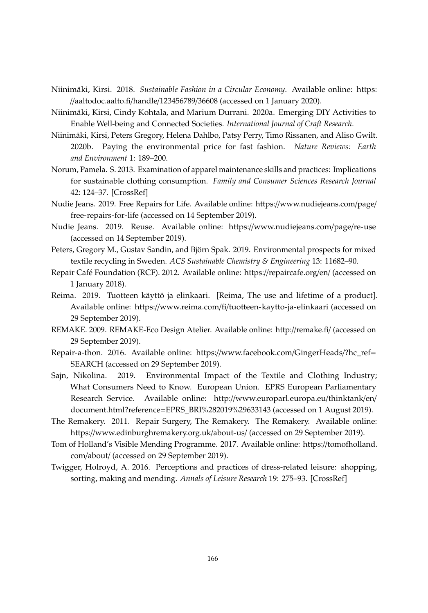- <span id="page-13-11"></span>Niinimäki, Kirsi. 2018. *Sustainable Fashion in a Circular Economy*. Available online: [https:](https://aaltodoc.aalto.fi/handle/123456789/36608) //[aaltodoc.aalto.fi](https://aaltodoc.aalto.fi/handle/123456789/36608)/handle/123456789/36608 (accessed on 1 January 2020).
- <span id="page-13-1"></span>Niinimäki, Kirsi, Cindy Kohtala, and Marium Durrani. 2020a. Emerging DIY Activities to Enable Well-being and Connected Societies. *International Journal of Craft Research*.
- <span id="page-13-10"></span>Niinimäki, Kirsi, Peters Gregory, Helena Dahlbo, Patsy Perry, Timo Rissanen, and Aliso Gwilt. 2020b. Paying the environmental price for fast fashion. *Nature Reviews: Earth and Environment* 1: 189–200.
- <span id="page-13-4"></span>Norum, Pamela. S. 2013. Examination of apparel maintenance skills and practices: Implications for sustainable clothing consumption. *Family and Consumer Sciences Research Journal* 42: 124–37. [\[CrossRef\]](http://dx.doi.org/10.1111/fcsr.12047)
- <span id="page-13-12"></span>Nudie Jeans. 2019. Free Repairs for Life. Available online: https://[www.nudiejeans.com](https://www.nudiejeans.com/page/free-repairs-for-life)/page/ [free-repairs-for-life](https://www.nudiejeans.com/page/free-repairs-for-life) (accessed on 14 September 2019).
- <span id="page-13-13"></span>Nudie Jeans. 2019. Reuse. Available online: https://[www.nudiejeans.com](https://www.nudiejeans.com/page/re-use)/page/re-use (accessed on 14 September 2019).
- <span id="page-13-2"></span>Peters, Gregory M., Gustav Sandin, and Björn Spak. 2019. Environmental prospects for mixed textile recycling in Sweden. *ACS Sustainable Chemistry & Engineering* 13: 11682–90.
- <span id="page-13-5"></span>Repair Café Foundation (RCF). 2012. Available online: https://[repaircafe.org](https://repaircafe.org/en/)/en/ (accessed on 1 January 2018).
- <span id="page-13-14"></span>Reima. 2019. Tuotteen käyttö ja elinkaari. [Reima, The use and lifetime of a product]. Available online: https://www.reima.com/fi/[tuotteen-kaytto-ja-elinkaari](https://www.reima.com/fi/tuotteen-kaytto-ja-elinkaari) (accessed on 29 September 2019).
- <span id="page-13-9"></span>REMAKE. 2009. REMAKE-Eco Design Atelier. Available online: http://[remake.fi](http://remake.fi/)/ (accessed on 29 September 2019).
- <span id="page-13-8"></span>Repair-a-thon. 2016. Available online: https://[www.facebook.com](https://www.facebook.com/GingerHeads/?hc_ref=SEARCH)/GingerHeads/?hc\_ref= [SEARCH](https://www.facebook.com/GingerHeads/?hc_ref=SEARCH) (accessed on 29 September 2019).
- <span id="page-13-0"></span>Sajn, Nikolina. 2019. Environmental Impact of the Textile and Clothing Industry; What Consumers Need to Know. European Union. EPRS European Parliamentary Research Service. Available online: http://[www.europarl.europa.eu](http://www.europarl.europa.eu/thinktank/en/document.html?reference=EPRS_BRI%282019%29633143)/thinktank/en/ document.html?reference=[EPRS\\_BRI%282019%29633143](http://www.europarl.europa.eu/thinktank/en/document.html?reference=EPRS_BRI%282019%29633143) (accessed on 1 August 2019).
- <span id="page-13-7"></span>The Remakery. 2011. Repair Surgery, The Remakery. The Remakery. Available online: https://[www.edinburghremakery.org.uk](https://www.edinburghremakery.org.uk/about-us/)/about-us/ (accessed on 29 September 2019).
- <span id="page-13-6"></span>Tom of Holland's Visible Mending Programme. 2017. Available online: https://[tomofholland.](https://tomofholland.com/about/) com/[about](https://tomofholland.com/about/)/ (accessed on 29 September 2019).
- <span id="page-13-3"></span>Twigger, Holroyd, A. 2016. Perceptions and practices of dress-related leisure: shopping, sorting, making and mending. *Annals of Leisure Research* 19: 275–93. [\[CrossRef\]](http://dx.doi.org/10.1080/11745398.2015.1111148)